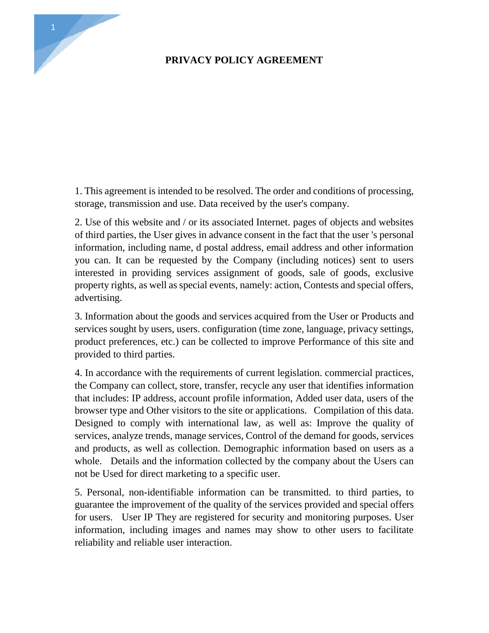## **PRIVACY POLICY AGREEMENT**

1. This agreement is intended to be resolved. The order and conditions of processing, storage, transmission and use. Data received by the user's company. storage, transmission and use. Data received by the user's company.

2. This agreement is intended to be resolved. The order and conditions of processing, storage, transmission and use. Data received by the user's company.<br>2. Use of this website and / or its associated Internet. pages of ob of third parties, the User gives in advance consent in the fact that the user 's personal information, including name, d postal address, email address and other information you can. It can be requested by the Company (including notices) sent to users interested in providing services assignment of goods, sale of goods, exclusive property rights, as well as special events, namely: action, Contests and special offers, advertising. 3. Information, including name, a position attacter as expansion and services and services interested in providing services assignment of goods, sale of goods, exclusive property rights, as well as special events, namely:

services sought by users, users. configuration (time zone, language, privacy settings, product preferences, etc.) can be collected to improve Performance of this site and provided to third parties. 4. Information about the goods and services acquired from the User or Products and<br>services sought by users, users. configuration (time zone, language, privacy settings,<br>product preferences, etc.) can be collected to impro

the Company can collect, store, transfer, recycle any user that identifies information that includes: IP address, account profile information, Added user data, users of the browser type and Other visitors to the site or applications. Compilation of this data. Designed to comply with international law, as well as: Improve the quality of services, analyze trends, manage services, Control of the demand for goods, services and products, as well as collection. Demographic information based on users as a whole. Details and the information collected by the company about the Users can not be Used for direct marketing to a specific user.

5. Personal, non-identifiable information can be transmitted. to third parties, to guarantee the improvement of the quality of the services provided and special offers for users. User IP They are registered for security and monitoring purposes. User information, including images and names may show to other users to facilitate reliability and reliable user interaction.

1